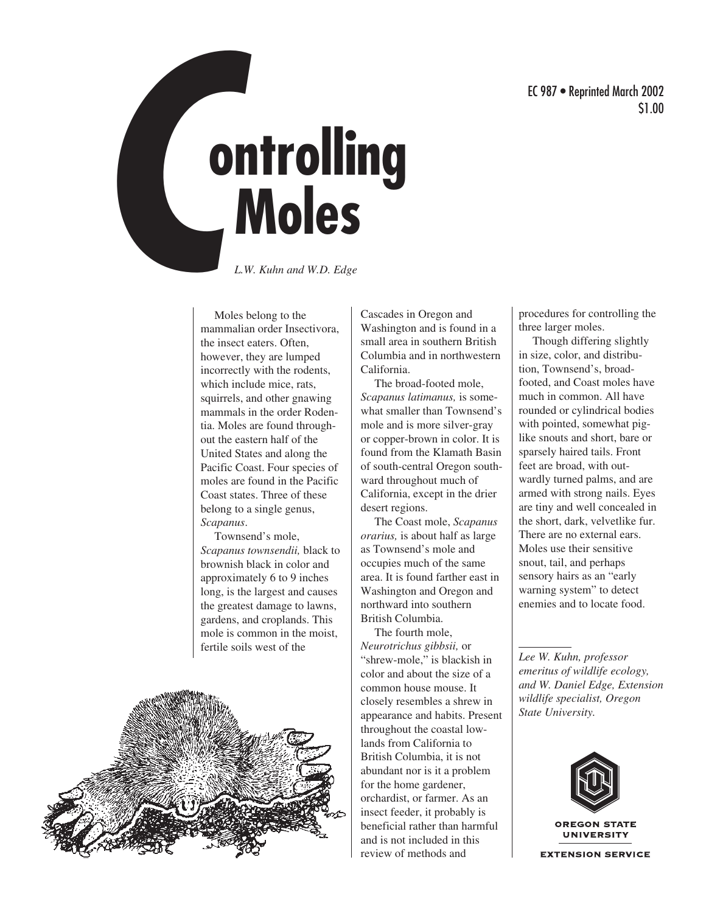#### EC 987 • Reprinted March 2002 \$1.00



*L.W. Kuhn and W.D. Edge*

Moles belong to the mammalian order Insectivora, the insect eaters. Often, however, they are lumped incorrectly with the rodents, which include mice, rats, squirrels, and other gnawing mammals in the order Rodentia. Moles are found throughout the eastern half of the United States and along the Pacific Coast. Four species of moles are found in the Pacific Coast states. Three of these belong to a single genus, *Scapanus*.

Townsend's mole, *Scapanus townsendii,* black to brownish black in color and approximately 6 to 9 inches long, is the largest and causes the greatest damage to lawns, gardens, and croplands. This mole is common in the moist, fertile soils west of the



Cascades in Oregon and Washington and is found in a small area in southern British Columbia and in northwestern California.

The broad-footed mole, *Scapanus latimanus,* is somewhat smaller than Townsend's mole and is more silver-gray or copper-brown in color. It is found from the Klamath Basin of south-central Oregon southward throughout much of California, except in the drier desert regions.

The Coast mole, *Scapanus orarius,* is about half as large as Townsend's mole and occupies much of the same area. It is found farther east in Washington and Oregon and northward into southern British Columbia.

The fourth mole, *Neurotrichus gibbsii,* or "shrew-mole," is blackish in color and about the size of a common house mouse. It closely resembles a shrew in appearance and habits. Present throughout the coastal lowlands from California to British Columbia, it is not abundant nor is it a problem for the home gardener, orchardist, or farmer. As an insect feeder, it probably is beneficial rather than harmful and is not included in this review of methods and

procedures for controlling the three larger moles.

Though differing slightly in size, color, and distribution, Townsend's, broadfooted, and Coast moles have much in common. All have rounded or cylindrical bodies with pointed, somewhat piglike snouts and short, bare or sparsely haired tails. Front feet are broad, with outwardly turned palms, and are armed with strong nails. Eyes are tiny and well concealed in the short, dark, velvetlike fur. There are no external ears. Moles use their sensitive snout, tail, and perhaps sensory hairs as an "early warning system" to detect enemies and to locate food.

*Lee W. Kuhn, professor emeritus of wildlife ecology, and W. Daniel Edge, Extension wildlife specialist, Oregon State University.*



**EXTENSION SERVICE**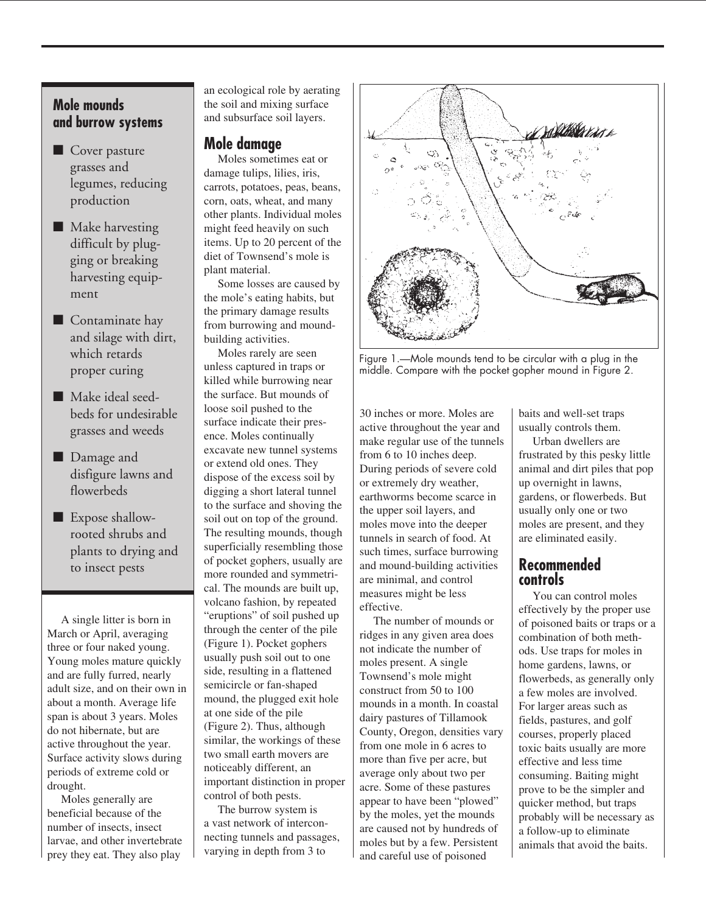## **Mole mounds and burrow systems**

- Cover pasture grasses and legumes, reducing production
- Make harvesting difficult by plugging or breaking harvesting equipment
- Contaminate hay and silage with dirt, which retards proper curing
- Make ideal seedbeds for undesirable grasses and weeds
- Damage and disfigure lawns and flowerbeds
- Expose shallowrooted shrubs and plants to drying and to insect pests

A single litter is born in March or April, averaging three or four naked young. Young moles mature quickly and are fully furred, nearly adult size, and on their own in about a month. Average life span is about 3 years. Moles do not hibernate, but are active throughout the year. Surface activity slows during periods of extreme cold or drought.

Moles generally are beneficial because of the number of insects, insect larvae, and other invertebrate prey they eat. They also play

an ecological role by aerating the soil and mixing surface and subsurface soil layers.

### **Mole damage**

Moles sometimes eat or damage tulips, lilies, iris, carrots, potatoes, peas, beans, corn, oats, wheat, and many other plants. Individual moles might feed heavily on such items. Up to 20 percent of the diet of Townsend's mole is plant material.

Some losses are caused by the mole's eating habits, but the primary damage results from burrowing and moundbuilding activities.

Moles rarely are seen unless captured in traps or killed while burrowing near the surface. But mounds of loose soil pushed to the surface indicate their presence. Moles continually excavate new tunnel systems or extend old ones. They dispose of the excess soil by digging a short lateral tunnel to the surface and shoving the soil out on top of the ground. The resulting mounds, though superficially resembling those of pocket gophers, usually are more rounded and symmetrical. The mounds are built up, volcano fashion, by repeated "eruptions" of soil pushed up through the center of the pile (Figure 1). Pocket gophers usually push soil out to one side, resulting in a flattened semicircle or fan-shaped mound, the plugged exit hole at one side of the pile (Figure 2). Thus, although similar, the workings of these two small earth movers are noticeably different, an important distinction in proper control of both pests.

The burrow system is a vast network of interconnecting tunnels and passages, varying in depth from 3 to



Figure 1.—Mole mounds tend to be circular with a plug in the middle. Compare with the pocket gopher mound in Figure 2.

30 inches or more. Moles are active throughout the year and make regular use of the tunnels from 6 to 10 inches deep. During periods of severe cold or extremely dry weather, earthworms become scarce in the upper soil layers, and moles move into the deeper tunnels in search of food. At such times, surface burrowing and mound-building activities are minimal, and control measures might be less effective.

The number of mounds or ridges in any given area does not indicate the number of moles present. A single Townsend's mole might construct from 50 to 100 mounds in a month. In coastal dairy pastures of Tillamook County, Oregon, densities vary from one mole in 6 acres to more than five per acre, but average only about two per acre. Some of these pastures appear to have been "plowed" by the moles, yet the mounds are caused not by hundreds of moles but by a few. Persistent and careful use of poisoned

baits and well-set traps usually controls them.

Urban dwellers are frustrated by this pesky little animal and dirt piles that pop up overnight in lawns, gardens, or flowerbeds. But usually only one or two moles are present, and they are eliminated easily.

## **Recommended controls**

You can control moles effectively by the proper use of poisoned baits or traps or a combination of both methods. Use traps for moles in home gardens, lawns, or flowerbeds, as generally only a few moles are involved. For larger areas such as fields, pastures, and golf courses, properly placed toxic baits usually are more effective and less time consuming. Baiting might prove to be the simpler and quicker method, but traps probably will be necessary as a follow-up to eliminate animals that avoid the baits.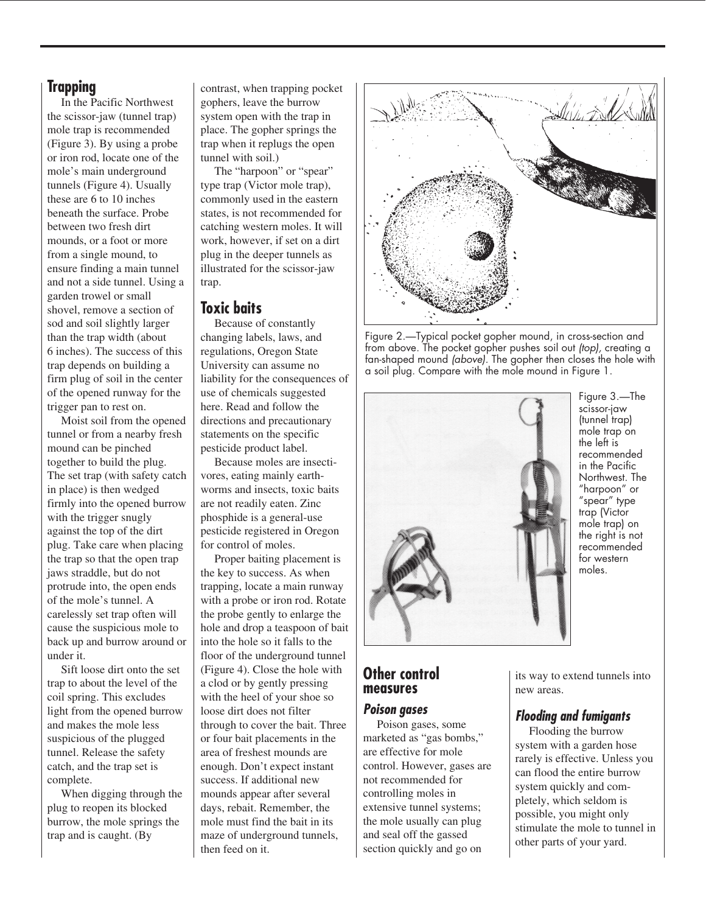## **Trapping**

In the Pacific Northwest the scissor-jaw (tunnel trap) mole trap is recommended (Figure 3). By using a probe or iron rod, locate one of the mole's main underground tunnels (Figure 4). Usually these are 6 to 10 inches beneath the surface. Probe between two fresh dirt mounds, or a foot or more from a single mound, to ensure finding a main tunnel and not a side tunnel. Using a garden trowel or small shovel, remove a section of sod and soil slightly larger than the trap width (about 6 inches). The success of this trap depends on building a firm plug of soil in the center of the opened runway for the trigger pan to rest on.

Moist soil from the opened tunnel or from a nearby fresh mound can be pinched together to build the plug. The set trap (with safety catch in place) is then wedged firmly into the opened burrow with the trigger snugly against the top of the dirt plug. Take care when placing the trap so that the open trap jaws straddle, but do not protrude into, the open ends of the mole's tunnel. A carelessly set trap often will cause the suspicious mole to back up and burrow around or under it.

Sift loose dirt onto the set trap to about the level of the coil spring. This excludes light from the opened burrow and makes the mole less suspicious of the plugged tunnel. Release the safety catch, and the trap set is complete.

When digging through the plug to reopen its blocked burrow, the mole springs the trap and is caught. (By

contrast, when trapping pocket gophers, leave the burrow system open with the trap in place. The gopher springs the trap when it replugs the open tunnel with soil.)

The "harpoon" or "spear" type trap (Victor mole trap), commonly used in the eastern states, is not recommended for catching western moles. It will work, however, if set on a dirt plug in the deeper tunnels as illustrated for the scissor-jaw trap.

### **Toxic baits**

Because of constantly changing labels, laws, and regulations, Oregon State University can assume no liability for the consequences of use of chemicals suggested here. Read and follow the directions and precautionary statements on the specific pesticide product label.

Because moles are insectivores, eating mainly earthworms and insects, toxic baits are not readily eaten. Zinc phosphide is a general-use pesticide registered in Oregon for control of moles.

Proper baiting placement is the key to success. As when trapping, locate a main runway with a probe or iron rod. Rotate the probe gently to enlarge the hole and drop a teaspoon of bait into the hole so it falls to the floor of the underground tunnel (Figure 4). Close the hole with a clod or by gently pressing with the heel of your shoe so loose dirt does not filter through to cover the bait. Three or four bait placements in the area of freshest mounds are enough. Don't expect instant success. If additional new mounds appear after several days, rebait. Remember, the mole must find the bait in its maze of underground tunnels, then feed on it.



Figure 2.—Typical pocket gopher mound, in cross-section and from above. The pocket gopher pushes soil out (top), creating a fan-shaped mound (above). The gopher then closes the hole with a soil plug. Compare with the mole mound in Figure 1.



## **Other control measures**

#### **Poison gases**

Poison gases, some marketed as "gas bombs," are effective for mole control. However, gases are not recommended for controlling moles in extensive tunnel systems; the mole usually can plug and seal off the gassed section quickly and go on

Figure 3.—The scissor-jaw (tunnel trap) mole trap on the left is recommended in the Pacific Northwest. The "harpoon" or "spear" type trap (Victor mole trap) on the right is not recommended for western moles.

its way to extend tunnels into new areas.

#### **Flooding and fumigants**

Flooding the burrow system with a garden hose rarely is effective. Unless you can flood the entire burrow system quickly and completely, which seldom is possible, you might only stimulate the mole to tunnel in other parts of your yard.